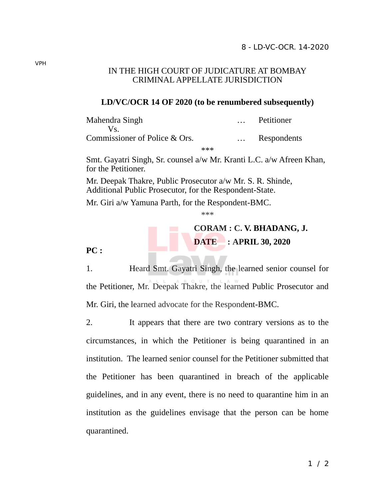## IN THE HIGH COURT OF JUDICATURE AT BOMBAY CRIMINAL APPELLATE JURISDICTION

## **LD/VC/OCR 14 OF 2020 (to be renumbered subsequently)**

Mahendra Singh … Petitioner Vs. Commissioner of Police & Ors. … Respondents \*\*\*

Smt. Gayatri Singh, Sr. counsel a/w Mr. Kranti L.C. a/w Afreen Khan, for the Petitioner.

\*\*\*

Mr. Deepak Thakre, Public Prosecutor a/w Mr. S. R. Shinde, Additional Public Prosecutor, for the Respondent-State.

Mr. Giri a/w Yamuna Parth, for the Respondent-BMC.

**CORAM : C. V. BHADANG, J. DATE : APRIL 30, 2020**

**PC :**

1. Heard Smt. Gayatri Singh, the learned senior counsel for the Petitioner, Mr. Deepak Thakre, the learned Public Prosecutor and Mr. Giri, the learned advocate for the Respondent-BMC.

2. It appears that there are two contrary versions as to the circumstances, in which the Petitioner is being quarantined in an institution. The learned senior counsel for the Petitioner submitted that the Petitioner has been quarantined in breach of the applicable guidelines, and in any event, there is no need to quarantine him in an institution as the guidelines envisage that the person can be home quarantined.